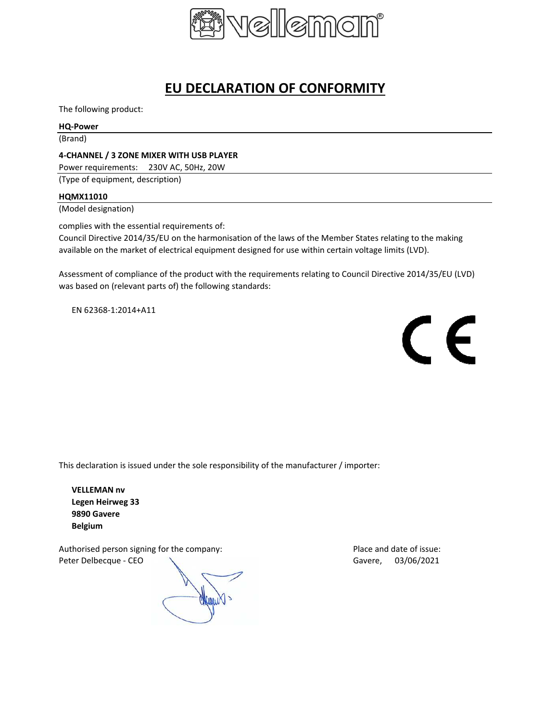

# **EU DECLARATION OF CONFORMITY**

The following product:

# **HQ-Power**

(Brand)

## **4-CHANNEL / 3 ZONE MIXER WITH USB PLAYER**

Power requirements: 230V AC, 50Hz, 20W

(Type of equipment, description)

#### **HQMX11010**

(Model designation)

complies with the essential requirements of:

Council Directive 2014/35/EU on the harmonisation of the laws of the Member States relating to the making available on the market of electrical equipment designed for use within certain voltage limits (LVD).

Assessment of compliance of the product with the requirements relating to Council Directive 2014/35/EU (LVD) was based on (relevant parts of) the following standards:

EN 62368-1:2014+A11



This declaration is issued under the sole responsibility of the manufacturer / importer:

**VELLEMAN nv Legen Heirweg 33 9890 Gavere Belgium**

Authorised person signing for the company: Place and date of issue: Peter Delbecque - CEO Care Communication of the Gavere, 03/06/2021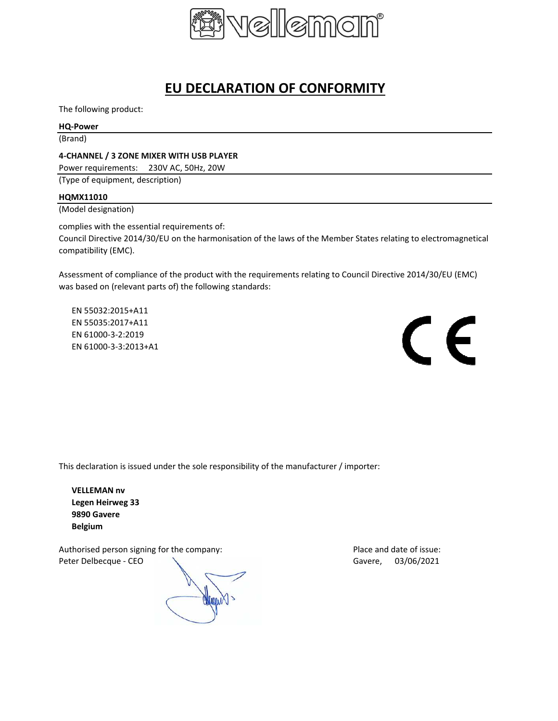

# **EU DECLARATION OF CONFORMITY**

The following product:

## **HQ-Power**

(Brand)

## **4-CHANNEL / 3 ZONE MIXER WITH USB PLAYER**

Power requirements: 230V AC, 50Hz, 20W

(Type of equipment, description)

#### **HQMX11010**

(Model designation)

complies with the essential requirements of:

Council Directive 2014/30/EU on the harmonisation of the laws of the Member States relating to electromagnetical compatibility (EMC).

Assessment of compliance of the product with the requirements relating to Council Directive 2014/30/EU (EMC) was based on (relevant parts of) the following standards:

EN 55032:2015+A11 EN 55035:2017+A11 EN 61000-3-2:2019 EN 61000-3-3:2013+A1



This declaration is issued under the sole responsibility of the manufacturer / importer:

**VELLEMAN nv Legen Heirweg 33 9890 Gavere Belgium**

Authorised person signing for the company: Place and date of issue: Peter Delbecque - CEO  $\sim$  Gavere, 03/06/2021